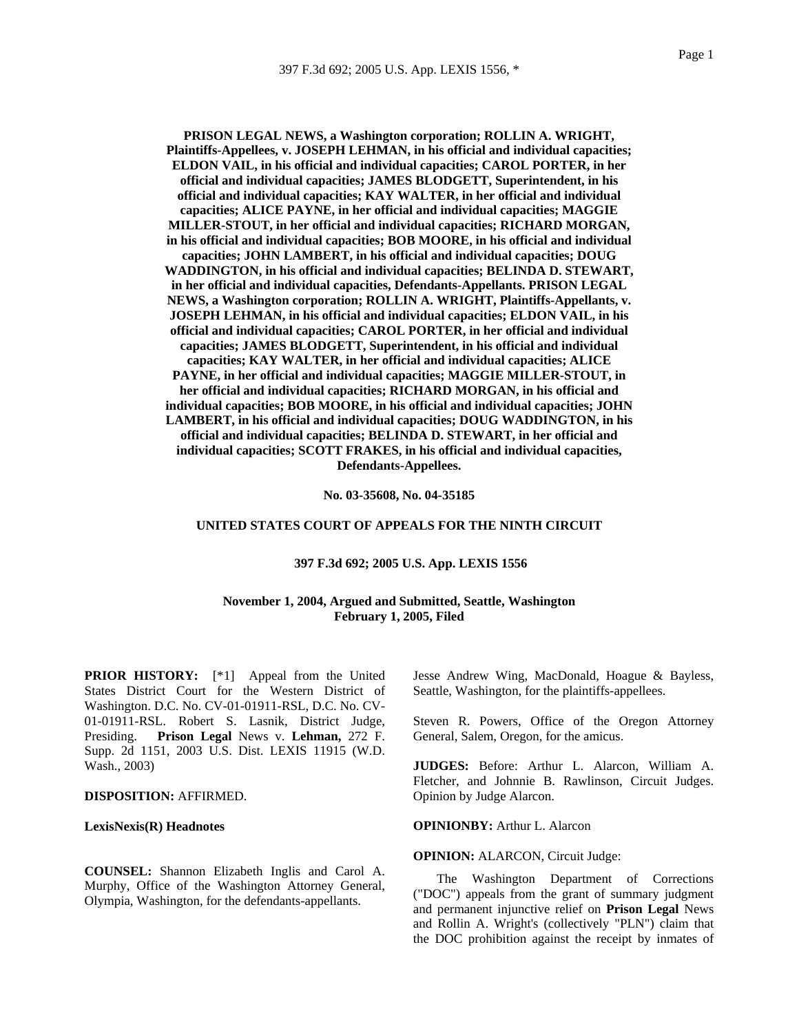**PRISON LEGAL NEWS, a Washington corporation; ROLLIN A. WRIGHT, Plaintiffs-Appellees, v. JOSEPH LEHMAN, in his official and individual capacities; ELDON VAIL, in his official and individual capacities; CAROL PORTER, in her official and individual capacities; JAMES BLODGETT, Superintendent, in his official and individual capacities; KAY WALTER, in her official and individual capacities; ALICE PAYNE, in her official and individual capacities; MAGGIE MILLER-STOUT, in her official and individual capacities; RICHARD MORGAN, in his official and individual capacities; BOB MOORE, in his official and individual capacities; JOHN LAMBERT, in his official and individual capacities; DOUG WADDINGTON, in his official and individual capacities; BELINDA D. STEWART, in her official and individual capacities, Defendants-Appellants. PRISON LEGAL NEWS, a Washington corporation; ROLLIN A. WRIGHT, Plaintiffs-Appellants, v. JOSEPH LEHMAN, in his official and individual capacities; ELDON VAIL, in his official and individual capacities; CAROL PORTER, in her official and individual capacities; JAMES BLODGETT, Superintendent, in his official and individual capacities; KAY WALTER, in her official and individual capacities; ALICE PAYNE, in her official and individual capacities; MAGGIE MILLER-STOUT, in her official and individual capacities; RICHARD MORGAN, in his official and individual capacities; BOB MOORE, in his official and individual capacities; JOHN LAMBERT, in his official and individual capacities; DOUG WADDINGTON, in his official and individual capacities; BELINDA D. STEWART, in her official and individual capacities; SCOTT FRAKES, in his official and individual capacities, Defendants-Appellees.**

**No. 03-35608, No. 04-35185** 

#### **UNITED STATES COURT OF APPEALS FOR THE NINTH CIRCUIT**

### **397 F.3d 692; 2005 U.S. App. LEXIS 1556**

# **November 1, 2004, Argued and Submitted, Seattle, Washington February 1, 2005, Filed**

**PRIOR HISTORY:** [\*1] Appeal from the United States District Court for the Western District of Washington. D.C. No. CV-01-01911-RSL, D.C. No. CV-01-01911-RSL. Robert S. Lasnik, District Judge, Presiding. **Prison Legal** News v. **Lehman,** 272 F. Supp. 2d 1151, 2003 U.S. Dist. LEXIS 11915 (W.D. Wash., 2003)

# **DISPOSITION:** AFFIRMED.

### **LexisNexis(R) Headnotes**

**COUNSEL:** Shannon Elizabeth Inglis and Carol A. Murphy, Office of the Washington Attorney General, Olympia, Washington, for the defendants-appellants.

Jesse Andrew Wing, MacDonald, Hoague & Bayless, Seattle, Washington, for the plaintiffs-appellees.

Steven R. Powers, Office of the Oregon Attorney General, Salem, Oregon, for the amicus.

**JUDGES:** Before: Arthur L. Alarcon, William A. Fletcher, and Johnnie B. Rawlinson, Circuit Judges. Opinion by Judge Alarcon.

**OPINIONBY:** Arthur L. Alarcon

**OPINION: ALARCON, Circuit Judge:** 

The Washington Department of Corrections ("DOC") appeals from the grant of summary judgment and permanent injunctive relief on **Prison Legal** News and Rollin A. Wright's (collectively "PLN") claim that the DOC prohibition against the receipt by inmates of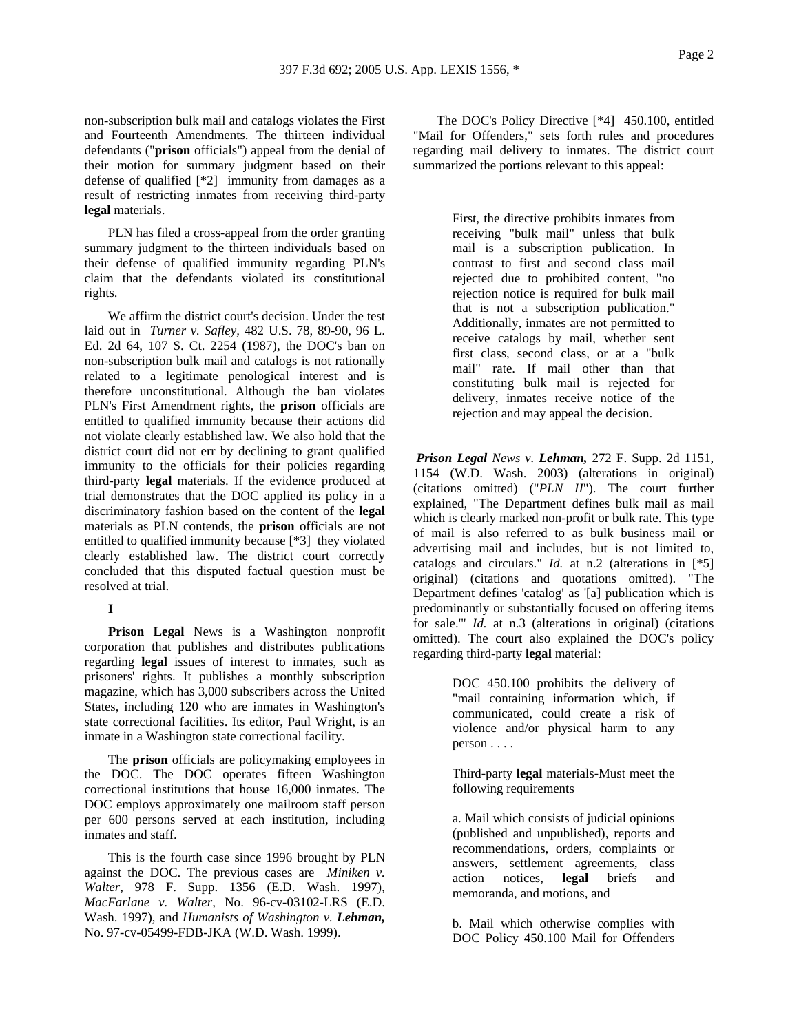non-subscription bulk mail and catalogs violates the First and Fourteenth Amendments. The thirteen individual defendants ("**prison** officials") appeal from the denial of their motion for summary judgment based on their defense of qualified [\*2] immunity from damages as a result of restricting inmates from receiving third-party **legal** materials.

PLN has filed a cross-appeal from the order granting summary judgment to the thirteen individuals based on their defense of qualified immunity regarding PLN's claim that the defendants violated its constitutional rights.

We affirm the district court's decision. Under the test laid out in *Turner v. Safley,* 482 U.S. 78, 89-90, 96 L. Ed. 2d 64, 107 S. Ct. 2254 (1987), the DOC's ban on non-subscription bulk mail and catalogs is not rationally related to a legitimate penological interest and is therefore unconstitutional. Although the ban violates PLN's First Amendment rights, the **prison** officials are entitled to qualified immunity because their actions did not violate clearly established law. We also hold that the district court did not err by declining to grant qualified immunity to the officials for their policies regarding third-party **legal** materials. If the evidence produced at trial demonstrates that the DOC applied its policy in a discriminatory fashion based on the content of the **legal** materials as PLN contends, the **prison** officials are not entitled to qualified immunity because [\*3] they violated clearly established law. The district court correctly concluded that this disputed factual question must be resolved at trial.

### **I**

**Prison Legal** News is a Washington nonprofit corporation that publishes and distributes publications regarding **legal** issues of interest to inmates, such as prisoners' rights. It publishes a monthly subscription magazine, which has 3,000 subscribers across the United States, including 120 who are inmates in Washington's state correctional facilities. Its editor, Paul Wright, is an inmate in a Washington state correctional facility.

The **prison** officials are policymaking employees in the DOC. The DOC operates fifteen Washington correctional institutions that house 16,000 inmates. The DOC employs approximately one mailroom staff person per 600 persons served at each institution, including inmates and staff.

This is the fourth case since 1996 brought by PLN against the DOC. The previous cases are *Miniken v. Walter,* 978 F. Supp. 1356 (E.D. Wash. 1997), *MacFarlane v. Walter,* No. 96-cv-03102-LRS (E.D. Wash. 1997), and *Humanists of Washington v. Lehman,* No. 97-cv-05499-FDB-JKA (W.D. Wash. 1999).

The DOC's Policy Directive [\*4] 450.100, entitled "Mail for Offenders," sets forth rules and procedures regarding mail delivery to inmates. The district court summarized the portions relevant to this appeal:

> First, the directive prohibits inmates from receiving "bulk mail" unless that bulk mail is a subscription publication. In contrast to first and second class mail rejected due to prohibited content, "no rejection notice is required for bulk mail that is not a subscription publication." Additionally, inmates are not permitted to receive catalogs by mail, whether sent first class, second class, or at a "bulk mail" rate. If mail other than that constituting bulk mail is rejected for delivery, inmates receive notice of the rejection and may appeal the decision.

*Prison Legal News v. Lehman,* 272 F. Supp. 2d 1151, 1154 (W.D. Wash. 2003) (alterations in original) (citations omitted) ("*PLN II*"). The court further explained, "The Department defines bulk mail as mail which is clearly marked non-profit or bulk rate. This type of mail is also referred to as bulk business mail or advertising mail and includes, but is not limited to, catalogs and circulars." *Id.* at n.2 (alterations in [\*5] original) (citations and quotations omitted). "The Department defines 'catalog' as '[a] publication which is predominantly or substantially focused on offering items for sale.'" *Id.* at n.3 (alterations in original) (citations omitted). The court also explained the DOC's policy regarding third-party **legal** material:

> DOC 450.100 prohibits the delivery of "mail containing information which, if communicated, could create a risk of violence and/or physical harm to any person . . . .

> Third-party **legal** materials-Must meet the following requirements

> a. Mail which consists of judicial opinions (published and unpublished), reports and recommendations, orders, complaints or answers, settlement agreements, class action notices, **legal** briefs and memoranda, and motions, and

> b. Mail which otherwise complies with DOC Policy 450.100 Mail for Offenders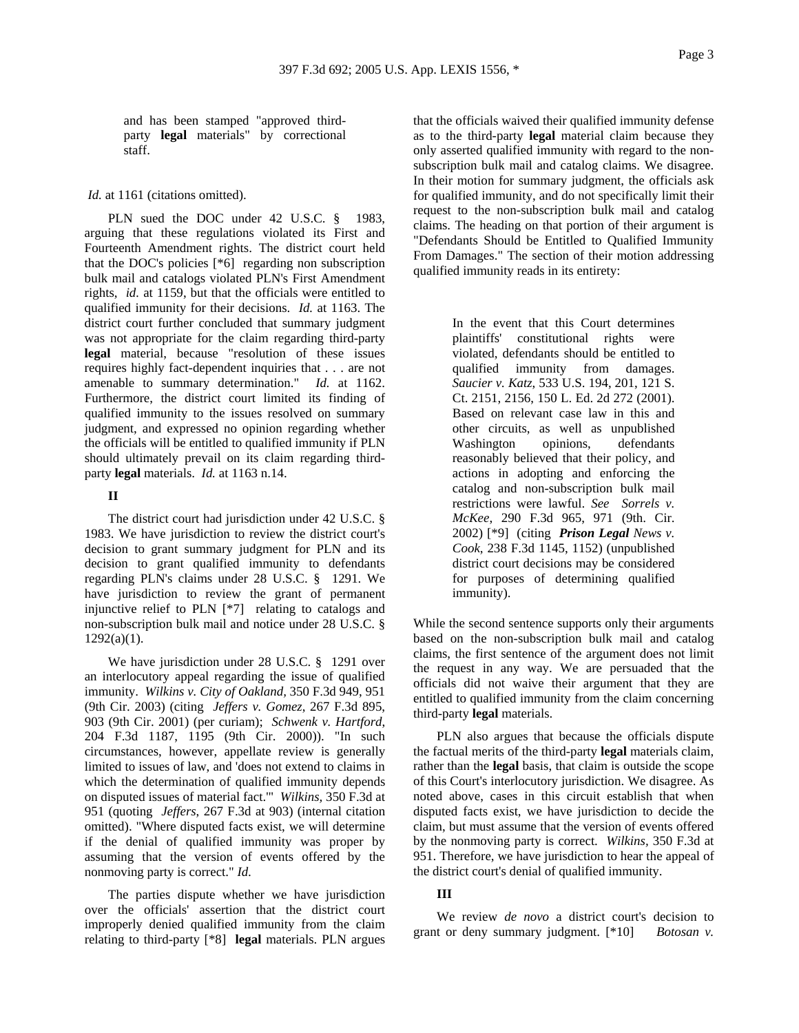and has been stamped "approved thirdparty **legal** materials" by correctional staff.

*Id.* at 1161 (citations omitted).

PLN sued the DOC under 42 U.S.C. § 1983, arguing that these regulations violated its First and Fourteenth Amendment rights. The district court held that the DOC's policies [\*6] regarding non subscription bulk mail and catalogs violated PLN's First Amendment rights, *id.* at 1159, but that the officials were entitled to qualified immunity for their decisions. *Id.* at 1163. The district court further concluded that summary judgment was not appropriate for the claim regarding third-party **legal** material, because "resolution of these issues requires highly fact-dependent inquiries that . . . are not amenable to summary determination." *Id.* at 1162. Furthermore, the district court limited its finding of qualified immunity to the issues resolved on summary judgment, and expressed no opinion regarding whether the officials will be entitled to qualified immunity if PLN should ultimately prevail on its claim regarding thirdparty **legal** materials. *Id.* at 1163 n.14.

# **II**

The district court had jurisdiction under 42 U.S.C. § 1983. We have jurisdiction to review the district court's decision to grant summary judgment for PLN and its decision to grant qualified immunity to defendants regarding PLN's claims under 28 U.S.C. § 1291. We have jurisdiction to review the grant of permanent injunctive relief to PLN [\*7] relating to catalogs and non-subscription bulk mail and notice under 28 U.S.C. §  $1292(a)(1)$ .

We have jurisdiction under 28 U.S.C. § 1291 over an interlocutory appeal regarding the issue of qualified immunity. *Wilkins v. City of Oakland,* 350 F.3d 949, 951 (9th Cir. 2003) (citing *Jeffers v. Gomez*, 267 F.3d 895, 903 (9th Cir. 2001) (per curiam); *Schwenk v. Hartford*, 204 F.3d 1187, 1195 (9th Cir. 2000)). "In such circumstances, however, appellate review is generally limited to issues of law, and 'does not extend to claims in which the determination of qualified immunity depends on disputed issues of material fact.'" *Wilkins,* 350 F.3d at 951 (quoting *Jeffers*, 267 F.3d at 903) (internal citation omitted). "Where disputed facts exist, we will determine if the denial of qualified immunity was proper by assuming that the version of events offered by the nonmoving party is correct." *Id.*

The parties dispute whether we have jurisdiction over the officials' assertion that the district court improperly denied qualified immunity from the claim relating to third-party [\*8] **legal** materials. PLN argues that the officials waived their qualified immunity defense as to the third-party **legal** material claim because they only asserted qualified immunity with regard to the nonsubscription bulk mail and catalog claims. We disagree. In their motion for summary judgment, the officials ask for qualified immunity, and do not specifically limit their request to the non-subscription bulk mail and catalog claims. The heading on that portion of their argument is "Defendants Should be Entitled to Qualified Immunity From Damages." The section of their motion addressing qualified immunity reads in its entirety:

> In the event that this Court determines plaintiffs' constitutional rights were violated, defendants should be entitled to qualified immunity from damages. *Saucier v. Katz*, 533 U.S. 194, 201, 121 S. Ct. 2151, 2156, 150 L. Ed. 2d 272 (2001). Based on relevant case law in this and other circuits, as well as unpublished Washington opinions, defendants reasonably believed that their policy, and actions in adopting and enforcing the catalog and non-subscription bulk mail restrictions were lawful. *See Sorrels v. McKee*, 290 F.3d 965, 971 (9th. Cir. 2002) [\*9] (citing *Prison Legal News v. Cook*, 238 F.3d 1145, 1152) (unpublished district court decisions may be considered for purposes of determining qualified immunity).

While the second sentence supports only their arguments based on the non-subscription bulk mail and catalog claims, the first sentence of the argument does not limit the request in any way. We are persuaded that the officials did not waive their argument that they are entitled to qualified immunity from the claim concerning third-party **legal** materials.

PLN also argues that because the officials dispute the factual merits of the third-party **legal** materials claim, rather than the **legal** basis, that claim is outside the scope of this Court's interlocutory jurisdiction. We disagree. As noted above, cases in this circuit establish that when disputed facts exist, we have jurisdiction to decide the claim, but must assume that the version of events offered by the nonmoving party is correct. *Wilkins,* 350 F.3d at 951. Therefore, we have jurisdiction to hear the appeal of the district court's denial of qualified immunity.

# **III**

We review *de novo* a district court's decision to grant or deny summary judgment. [\*10] *Botosan v.*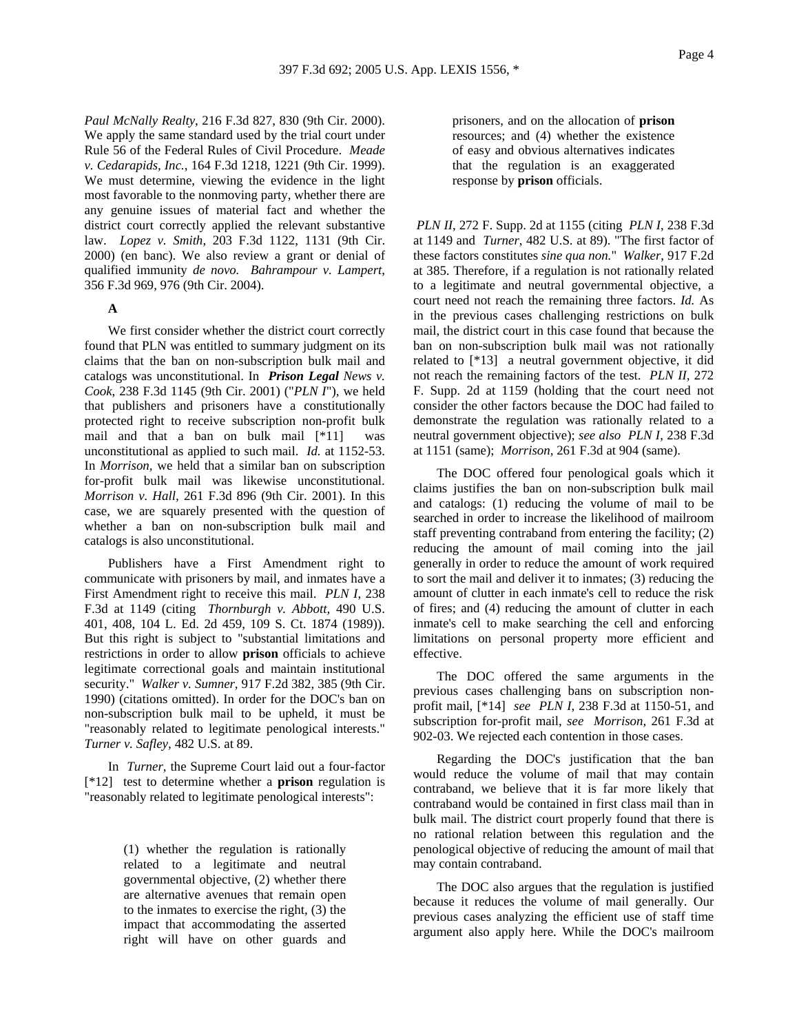*Paul McNally Realty*, 216 F.3d 827, 830 (9th Cir. 2000). We apply the same standard used by the trial court under Rule 56 of the Federal Rules of Civil Procedure. *Meade v. Cedarapids, Inc.*, 164 F.3d 1218, 1221 (9th Cir. 1999). We must determine, viewing the evidence in the light most favorable to the nonmoving party, whether there are any genuine issues of material fact and whether the district court correctly applied the relevant substantive law. *Lopez v. Smith*, 203 F.3d 1122, 1131 (9th Cir. 2000) (en banc). We also review a grant or denial of qualified immunity *de novo. Bahrampour v. Lampert*, 356 F.3d 969, 976 (9th Cir. 2004).

# **A**

We first consider whether the district court correctly found that PLN was entitled to summary judgment on its claims that the ban on non-subscription bulk mail and catalogs was unconstitutional. In *Prison Legal News v. Cook*, 238 F.3d 1145 (9th Cir. 2001) ("*PLN I*"), we held that publishers and prisoners have a constitutionally protected right to receive subscription non-profit bulk mail and that a ban on bulk mail [\*11] was unconstitutional as applied to such mail. *Id.* at 1152-53. In *Morrison,* we held that a similar ban on subscription for-profit bulk mail was likewise unconstitutional. *Morrison v. Hall,* 261 F.3d 896 (9th Cir. 2001). In this case, we are squarely presented with the question of whether a ban on non-subscription bulk mail and catalogs is also unconstitutional.

Publishers have a First Amendment right to communicate with prisoners by mail, and inmates have a First Amendment right to receive this mail. *PLN I*, 238 F.3d at 1149 (citing *Thornburgh v. Abbott,* 490 U.S. 401, 408, 104 L. Ed. 2d 459, 109 S. Ct. 1874 (1989)). But this right is subject to "substantial limitations and restrictions in order to allow **prison** officials to achieve legitimate correctional goals and maintain institutional security." *Walker v. Sumner*, 917 F.2d 382, 385 (9th Cir. 1990) (citations omitted). In order for the DOC's ban on non-subscription bulk mail to be upheld, it must be "reasonably related to legitimate penological interests." *Turner v. Safley,* 482 U.S. at 89.

In *Turner*, the Supreme Court laid out a four-factor [\*12] test to determine whether a **prison** regulation is "reasonably related to legitimate penological interests":

> (1) whether the regulation is rationally related to a legitimate and neutral governmental objective, (2) whether there are alternative avenues that remain open to the inmates to exercise the right, (3) the impact that accommodating the asserted right will have on other guards and

prisoners, and on the allocation of **prison** resources; and (4) whether the existence of easy and obvious alternatives indicates that the regulation is an exaggerated response by **prison** officials.

*PLN II*, 272 F. Supp. 2d at 1155 (citing *PLN I*, 238 F.3d at 1149 and *Turner*, 482 U.S. at 89). "The first factor of these factors constitutes *sine qua non.*" *Walker*, 917 F.2d at 385. Therefore, if a regulation is not rationally related to a legitimate and neutral governmental objective, a court need not reach the remaining three factors. *Id.* As in the previous cases challenging restrictions on bulk mail, the district court in this case found that because the ban on non-subscription bulk mail was not rationally related to [\*13] a neutral government objective, it did not reach the remaining factors of the test. *PLN II,* 272 F. Supp. 2d at 1159 (holding that the court need not consider the other factors because the DOC had failed to demonstrate the regulation was rationally related to a neutral government objective); *see also PLN I*, 238 F.3d at 1151 (same); *Morrison*, 261 F.3d at 904 (same).

The DOC offered four penological goals which it claims justifies the ban on non-subscription bulk mail and catalogs: (1) reducing the volume of mail to be searched in order to increase the likelihood of mailroom staff preventing contraband from entering the facility; (2) reducing the amount of mail coming into the jail generally in order to reduce the amount of work required to sort the mail and deliver it to inmates; (3) reducing the amount of clutter in each inmate's cell to reduce the risk of fires; and (4) reducing the amount of clutter in each inmate's cell to make searching the cell and enforcing limitations on personal property more efficient and effective.

The DOC offered the same arguments in the previous cases challenging bans on subscription nonprofit mail, [\*14] *see PLN I*, 238 F.3d at 1150-51, and subscription for-profit mail, *see Morrison,* 261 F.3d at 902-03. We rejected each contention in those cases.

Regarding the DOC's justification that the ban would reduce the volume of mail that may contain contraband, we believe that it is far more likely that contraband would be contained in first class mail than in bulk mail. The district court properly found that there is no rational relation between this regulation and the penological objective of reducing the amount of mail that may contain contraband.

The DOC also argues that the regulation is justified because it reduces the volume of mail generally. Our previous cases analyzing the efficient use of staff time argument also apply here. While the DOC's mailroom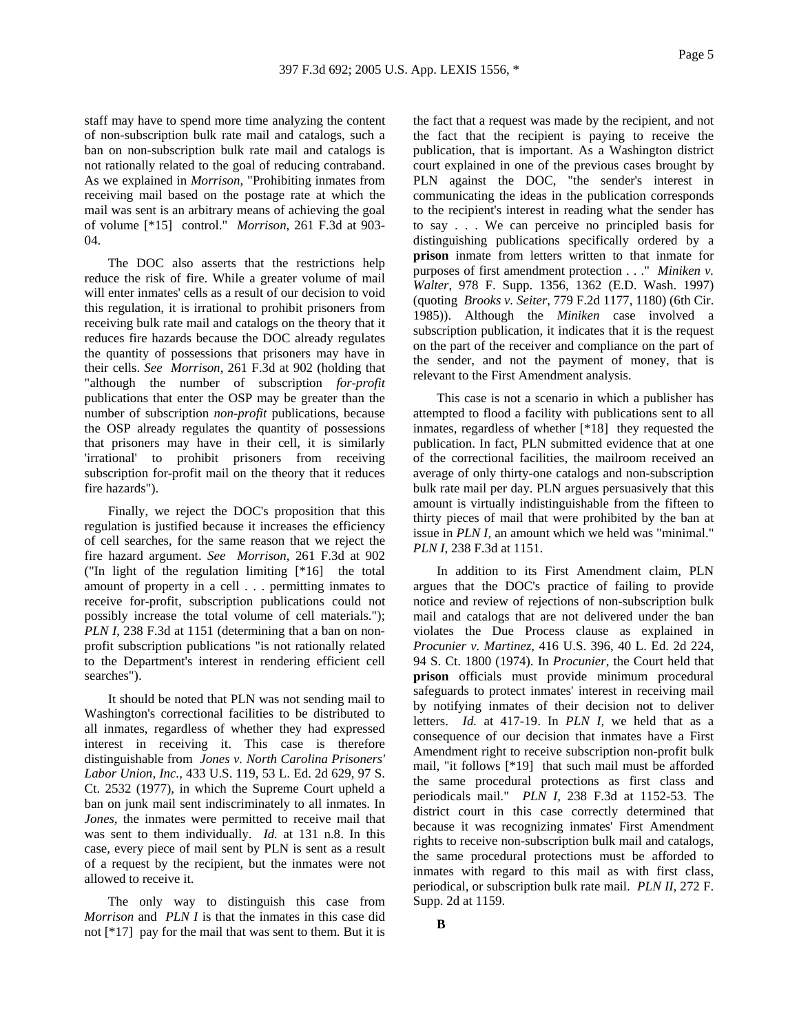staff may have to spend more time analyzing the content of non-subscription bulk rate mail and catalogs, such a ban on non-subscription bulk rate mail and catalogs is not rationally related to the goal of reducing contraband. As we explained in *Morrison*, "Prohibiting inmates from receiving mail based on the postage rate at which the mail was sent is an arbitrary means of achieving the goal of volume [\*15] control." *Morrison*, 261 F.3d at 903- 04.

The DOC also asserts that the restrictions help reduce the risk of fire. While a greater volume of mail will enter inmates' cells as a result of our decision to void this regulation, it is irrational to prohibit prisoners from receiving bulk rate mail and catalogs on the theory that it reduces fire hazards because the DOC already regulates the quantity of possessions that prisoners may have in their cells. *See Morrison*, 261 F.3d at 902 (holding that "although the number of subscription *for-profit* publications that enter the OSP may be greater than the number of subscription *non-profit* publications, because the OSP already regulates the quantity of possessions that prisoners may have in their cell, it is similarly 'irrational' to prohibit prisoners from receiving subscription for-profit mail on the theory that it reduces fire hazards").

Finally, we reject the DOC's proposition that this regulation is justified because it increases the efficiency of cell searches, for the same reason that we reject the fire hazard argument. *See Morrison*, 261 F.3d at 902 ("In light of the regulation limiting [\*16] the total amount of property in a cell . . . permitting inmates to receive for-profit, subscription publications could not possibly increase the total volume of cell materials."); *PLN I*, 238 F.3d at 1151 (determining that a ban on nonprofit subscription publications "is not rationally related to the Department's interest in rendering efficient cell searches").

It should be noted that PLN was not sending mail to Washington's correctional facilities to be distributed to all inmates, regardless of whether they had expressed interest in receiving it. This case is therefore distinguishable from *Jones v. North Carolina Prisoners' Labor Union, Inc.,* 433 U.S. 119, 53 L. Ed. 2d 629, 97 S. Ct. 2532 (1977), in which the Supreme Court upheld a ban on junk mail sent indiscriminately to all inmates. In *Jones*, the inmates were permitted to receive mail that was sent to them individually. *Id.* at 131 n.8. In this case, every piece of mail sent by PLN is sent as a result of a request by the recipient, but the inmates were not allowed to receive it.

The only way to distinguish this case from *Morrison* and *PLN I* is that the inmates in this case did not [\*17] pay for the mail that was sent to them. But it is

the fact that a request was made by the recipient, and not the fact that the recipient is paying to receive the publication, that is important. As a Washington district court explained in one of the previous cases brought by PLN against the DOC, "the sender's interest in communicating the ideas in the publication corresponds to the recipient's interest in reading what the sender has to say . . . We can perceive no principled basis for distinguishing publications specifically ordered by a **prison** inmate from letters written to that inmate for purposes of first amendment protection . . ." *Miniken v. Walter*, 978 F. Supp. 1356, 1362 (E.D. Wash. 1997) (quoting *Brooks v. Seiter*, 779 F.2d 1177, 1180) (6th Cir. 1985)). Although the *Miniken* case involved a subscription publication, it indicates that it is the request on the part of the receiver and compliance on the part of the sender, and not the payment of money, that is relevant to the First Amendment analysis.

This case is not a scenario in which a publisher has attempted to flood a facility with publications sent to all inmates, regardless of whether [\*18] they requested the publication. In fact, PLN submitted evidence that at one of the correctional facilities, the mailroom received an average of only thirty-one catalogs and non-subscription bulk rate mail per day. PLN argues persuasively that this amount is virtually indistinguishable from the fifteen to thirty pieces of mail that were prohibited by the ban at issue in *PLN I,* an amount which we held was "minimal." *PLN I,* 238 F.3d at 1151.

In addition to its First Amendment claim, PLN argues that the DOC's practice of failing to provide notice and review of rejections of non-subscription bulk mail and catalogs that are not delivered under the ban violates the Due Process clause as explained in *Procunier v. Martinez,* 416 U.S. 396, 40 L. Ed. 2d 224, 94 S. Ct. 1800 (1974). In *Procunier*, the Court held that **prison** officials must provide minimum procedural safeguards to protect inmates' interest in receiving mail by notifying inmates of their decision not to deliver letters. *Id.* at 417-19. In *PLN I,* we held that as a consequence of our decision that inmates have a First Amendment right to receive subscription non-profit bulk mail, "it follows [\*19] that such mail must be afforded the same procedural protections as first class and periodicals mail." *PLN I,* 238 F.3d at 1152-53. The district court in this case correctly determined that because it was recognizing inmates' First Amendment rights to receive non-subscription bulk mail and catalogs, the same procedural protections must be afforded to inmates with regard to this mail as with first class, periodical, or subscription bulk rate mail. *PLN II,* 272 F. Supp. 2d at 1159.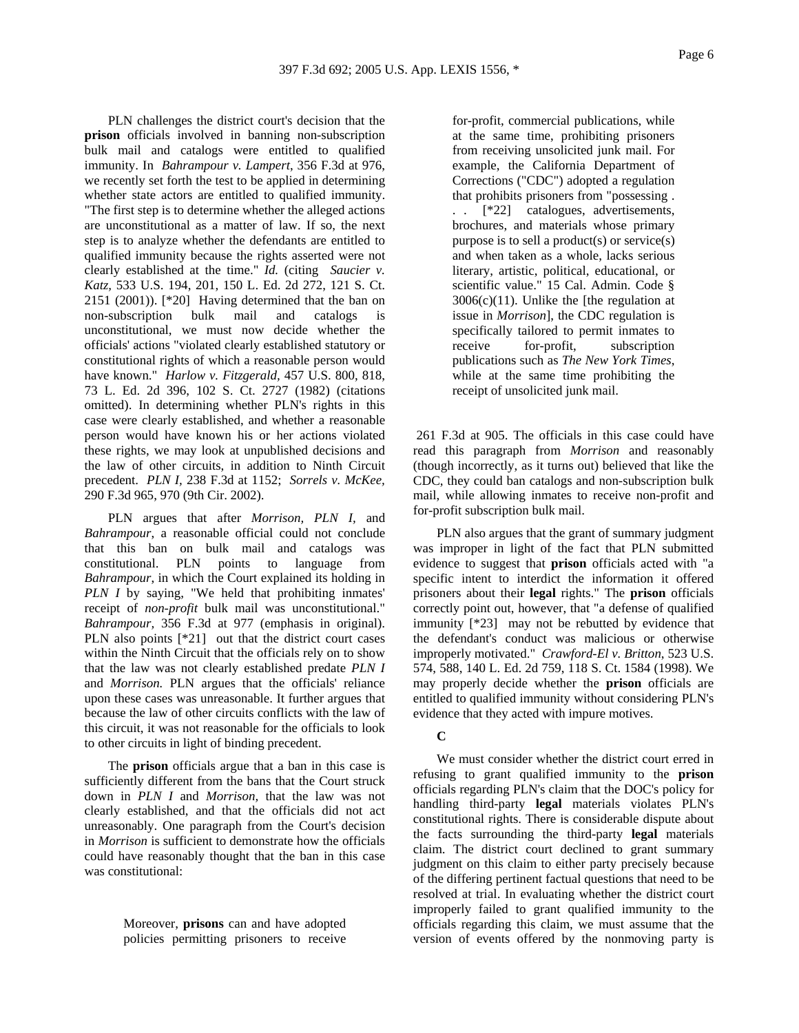PLN challenges the district court's decision that the **prison** officials involved in banning non-subscription bulk mail and catalogs were entitled to qualified immunity. In *Bahrampour v. Lampert*, 356 F.3d at 976, we recently set forth the test to be applied in determining whether state actors are entitled to qualified immunity. "The first step is to determine whether the alleged actions are unconstitutional as a matter of law. If so, the next step is to analyze whether the defendants are entitled to qualified immunity because the rights asserted were not clearly established at the time." *Id.* (citing *Saucier v. Katz,* 533 U.S. 194, 201, 150 L. Ed. 2d 272, 121 S. Ct. 2151 (2001)). [\*20] Having determined that the ban on non-subscription bulk mail and catalogs is unconstitutional, we must now decide whether the officials' actions "violated clearly established statutory or constitutional rights of which a reasonable person would have known." *Harlow v. Fitzgerald,* 457 U.S. 800, 818, 73 L. Ed. 2d 396, 102 S. Ct. 2727 (1982) (citations omitted). In determining whether PLN's rights in this case were clearly established, and whether a reasonable person would have known his or her actions violated these rights, we may look at unpublished decisions and the law of other circuits, in addition to Ninth Circuit precedent. *PLN I,* 238 F.3d at 1152; *Sorrels v. McKee,* 290 F.3d 965, 970 (9th Cir. 2002).

PLN argues that after *Morrison, PLN I,* and *Bahrampour*, a reasonable official could not conclude that this ban on bulk mail and catalogs was constitutional. PLN points to language from *Bahrampour*, in which the Court explained its holding in *PLN I* by saying, "We held that prohibiting inmates' receipt of *non-profit* bulk mail was unconstitutional." *Bahrampour,* 356 F.3d at 977 (emphasis in original). PLN also points [\*21] out that the district court cases within the Ninth Circuit that the officials rely on to show that the law was not clearly established predate *PLN I*  and *Morrison.* PLN argues that the officials' reliance upon these cases was unreasonable. It further argues that because the law of other circuits conflicts with the law of this circuit, it was not reasonable for the officials to look to other circuits in light of binding precedent.

The **prison** officials argue that a ban in this case is sufficiently different from the bans that the Court struck down in *PLN I* and *Morrison,* that the law was not clearly established, and that the officials did not act unreasonably. One paragraph from the Court's decision in *Morrison* is sufficient to demonstrate how the officials could have reasonably thought that the ban in this case was constitutional:

> Moreover, **prisons** can and have adopted policies permitting prisoners to receive

for-profit, commercial publications, while at the same time, prohibiting prisoners from receiving unsolicited junk mail. For example, the California Department of Corrections ("CDC") adopted a regulation that prohibits prisoners from "possessing . . . [\*22] catalogues, advertisements, brochures, and materials whose primary purpose is to sell a product(s) or service(s) and when taken as a whole, lacks serious literary, artistic, political, educational, or scientific value." 15 Cal. Admin. Code §  $3006(c)(11)$ . Unlike the [the regulation at issue in *Morrison*], the CDC regulation is specifically tailored to permit inmates to receive for-profit, subscription publications such as *The New York Times*, while at the same time prohibiting the receipt of unsolicited junk mail.

 261 F.3d at 905. The officials in this case could have read this paragraph from *Morrison* and reasonably (though incorrectly, as it turns out) believed that like the CDC, they could ban catalogs and non-subscription bulk mail, while allowing inmates to receive non-profit and for-profit subscription bulk mail.

PLN also argues that the grant of summary judgment was improper in light of the fact that PLN submitted evidence to suggest that **prison** officials acted with "a specific intent to interdict the information it offered prisoners about their **legal** rights." The **prison** officials correctly point out, however, that "a defense of qualified immunity [\*23] may not be rebutted by evidence that the defendant's conduct was malicious or otherwise improperly motivated." *Crawford-El v. Britton*, 523 U.S. 574, 588, 140 L. Ed. 2d 759, 118 S. Ct. 1584 (1998). We may properly decide whether the **prison** officials are entitled to qualified immunity without considering PLN's evidence that they acted with impure motives.

### **C**

We must consider whether the district court erred in refusing to grant qualified immunity to the **prison** officials regarding PLN's claim that the DOC's policy for handling third-party **legal** materials violates PLN's constitutional rights. There is considerable dispute about the facts surrounding the third-party **legal** materials claim. The district court declined to grant summary judgment on this claim to either party precisely because of the differing pertinent factual questions that need to be resolved at trial. In evaluating whether the district court improperly failed to grant qualified immunity to the officials regarding this claim, we must assume that the version of events offered by the nonmoving party is